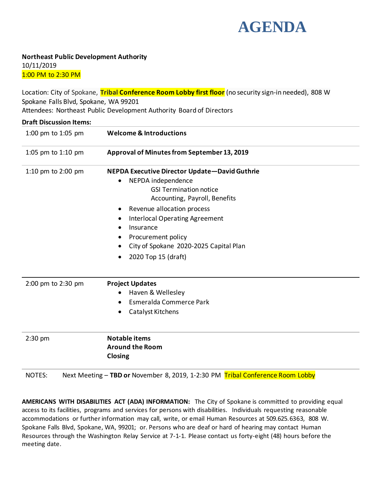

**Northeast Public Development Authority** 10/11/2019 1:00 PM to 2:30 PM

Location: City of Spokane, **Tribal Conference Room Lobby first floor** (no security sign-in needed), 808 W Spokane Falls Blvd, Spokane, WA 99201 Attendees: Northeast Public Development Authority Board of Directors

| <b>Draft Discussion Items:</b> |                                                                                                                                                                                                                                                                                                                               |
|--------------------------------|-------------------------------------------------------------------------------------------------------------------------------------------------------------------------------------------------------------------------------------------------------------------------------------------------------------------------------|
| 1:00 pm to 1:05 pm             | <b>Welcome &amp; Introductions</b>                                                                                                                                                                                                                                                                                            |
| 1:05 pm to 1:10 pm             | Approval of Minutes from September 13, 2019                                                                                                                                                                                                                                                                                   |
| 1:10 pm to 2:00 pm             | NEPDA Executive Director Update-David Guthrie<br>NEPDA independence<br><b>GSI Termination notice</b><br>Accounting, Payroll, Benefits<br>Revenue allocation process<br><b>Interlocal Operating Agreement</b><br>$\bullet$<br>Insurance<br>Procurement policy<br>City of Spokane 2020-2025 Capital Plan<br>2020 Top 15 (draft) |
| 2:00 pm to 2:30 pm             | <b>Project Updates</b><br>Haven & Wellesley<br>Esmeralda Commerce Park<br>$\bullet$<br>Catalyst Kitchens                                                                                                                                                                                                                      |
| $2:30$ pm                      | <b>Notable items</b><br><b>Around the Room</b><br><b>Closing</b>                                                                                                                                                                                                                                                              |
| <b>NOTES:</b>                  | Next Meeting - TBD or November 8, 2019, 1-2:30 PM Tribal Conference Room Lobby                                                                                                                                                                                                                                                |

**AMERICANS WITH DISABILITIES ACT (ADA) INFORMATION:** The City of Spokane is committed to providing equal access to its facilities, programs and services for persons with disabilities. Individuals requesting reasonable accommodations or further information may call, write, or email Human Resources at 509.625.6363, 808 W. Spokane Falls Blvd, Spokane, WA, 99201; or. Persons who are deaf or hard of hearing may contact Human Resources through the Washington Relay Service at 7-1-1. Please contact us forty-eight (48) hours before the meeting date.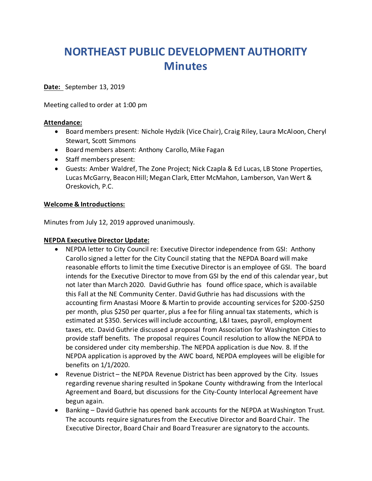# **NORTHEAST PUBLIC DEVELOPMENT AUTHORITY Minutes**

**Date:**September 13, 2019

Meeting called to order at 1:00 pm

#### **Attendance:**

- Board members present: Nichole Hydzik (Vice Chair), Craig Riley, Laura McAloon, Cheryl Stewart, Scott Simmons
- Board members absent: Anthony Carollo, Mike Fagan
- Staff members present:
- Guests: Amber Waldref, The Zone Project; Nick Czapla & Ed Lucas, LB Stone Properties, Lucas McGarry, Beacon Hill; Megan Clark, Etter McMahon, Lamberson, Van Wert & Oreskovich, P.C.

### **Welcome & Introductions:**

Minutes from July 12, 2019 approved unanimously.

### **NEPDA Executive Director Update:**

- NEPDA letter to City Council re: Executive Director independence from GSI: Anthony Carollo signed a letter for the City Council stating that the NEPDA Board will make reasonable efforts to limit the time Executive Director is an employee of GSI. The board intends for the Executive Director to move from GSI by the end of this calendar year, but not later than March 2020. David Guthrie has found office space, which is available this Fall at the NE Community Center. David Guthrie has had discussions with the accounting firm Anastasi Moore & Martin to provide accounting services for \$200-\$250 per month, plus \$250 per quarter, plus a fee for filing annual tax statements, which is estimated at \$350. Services will include accounting, L&I taxes, payroll, employment taxes, etc. David Guthrie discussed a proposal from Association for Washington Cities to provide staff benefits. The proposal requires Council resolution to allow the NEPDA to be considered under city membership. The NEPDA application is due Nov. 8. If the NEPDA application is approved by the AWC board, NEPDA employees will be eligible for benefits on 1/1/2020.
- Revenue District the NEPDA Revenue District has been approved by the City. Issues regarding revenue sharing resulted in Spokane County withdrawing from the Interlocal Agreement and Board, but discussions for the City-County Interlocal Agreement have begun again.
- Banking David Guthrie has opened bank accounts for the NEPDA at Washington Trust. The accounts require signatures from the Executive Director and Board Chair. The Executive Director, Board Chair and Board Treasurer are signatory to the accounts.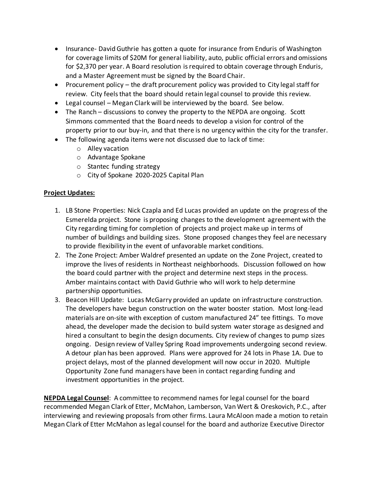- Insurance- David Guthrie has gotten a quote for insurance from Enduris of Washington for coverage limits of \$20M for general liability, auto, public official errors and omissions for \$2,370 per year. A Board resolution is required to obtain coverage through Enduris, and a Master Agreement must be signed by the Board Chair.
- Procurement policy the draft procurement policy was provided to City legal staff for review. City feels that the board should retain legal counsel to provide this review.
- Legal counsel Megan Clark will be interviewed by the board. See below.
- The Ranch discussions to convey the property to the NEPDA are ongoing. Scott Simmons commented that the Board needs to develop a vision for control of the property prior to our buy-in, and that there is no urgency within the city for the transfer.
- The following agenda items were not discussed due to lack of time:
	- o Alley vacation
	- o Advantage Spokane
	- o Stantec funding strategy
	- o City of Spokane 2020-2025 Capital Plan

## **Project Updates:**

- 1. LB Stone Properties: Nick Czapla and Ed Lucas provided an update on the progress of the Esmerelda project. Stone is proposing changes to the development agreement with the City regarding timing for completion of projects and project make up in terms of number of buildings and building sizes. Stone proposed changes they feel are necessary to provide flexibility in the event of unfavorable market conditions.
- 2. The Zone Project: Amber Waldref presented an update on the Zone Project, created to improve the lives of residents in Northeast neighborhoods. Discussion followed on how the board could partner with the project and determine next steps in the process. Amber maintains contact with David Guthrie who will work to help determine partnership opportunities.
- 3. Beacon Hill Update: Lucas McGarry provided an update on infrastructure construction. The developers have begun construction on the water booster station. Most long-lead materials are on-site with exception of custom manufactured 24" tee fittings. To move ahead, the developer made the decision to build system water storage as designed and hired a consultant to begin the design documents. City review of changes to pump sizes ongoing. Design review of Valley Spring Road improvements undergoing second review. A detour plan has been approved. Plans were approved for 24 lots in Phase 1A. Due to project delays, most of the planned development will now occur in 2020. Multiple Opportunity Zone fund managers have been in contact regarding funding and investment opportunities in the project.

**NEPDA Legal Counsel**: A committee to recommend names for legal counsel for the board recommended Megan Clark of Etter, McMahon, Lamberson, Van Wert & Oreskovich, P.C., after interviewing and reviewing proposals from other firms. Laura McAloon made a motion to retain Megan Clark of Etter McMahon as legal counsel for the board and authorize Executive Director